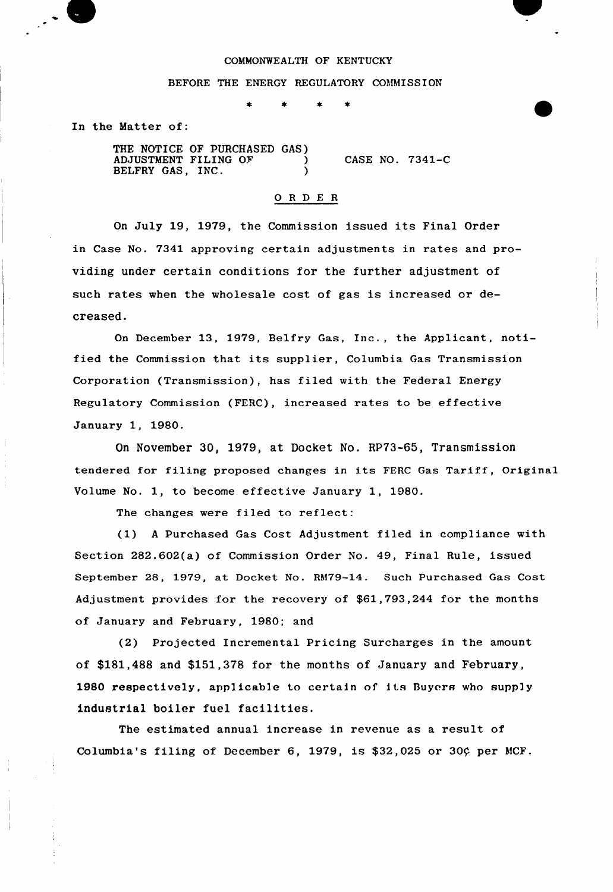## COMMONWEALTH OF KENTUCKY

## BEFORE THE ENERGY REGULATORY COMMISSION

In the Matter of:

THE NOTICE OF PURCHASED GAS) ADJUSTMENT FILING OF  $\qquad$  ) BELFRY GAS, INC. CASE NO. 7341-C

## 0 <sup>R</sup> <sup>D</sup> E <sup>R</sup>

On July 19, 1979, the Commission issued its Final Order in Case No. 7341 approving certain adjustments in rates and providing under certain conditions for the further adjustment of such rates when the wholesale cost of gas is increased or decreased.

On December 13, 1979, Belfry Gas, Inc., the Applicant, notified the Commission that its supplier, Columbia Gas Transmission Corporation (Transmission), has filed with the Federal Energy Regulatory Commission (FERC), increased rates to be effective January 1, 1980.

On November 30, 1979, at Docket No. RP73-65, Transmission tendered for filing proposed changes in its FERC Gas Tariff, Original Volume No. 1, to become effective January 1, 1980.

The changes were filed to reflect:

(1) <sup>A</sup> Purchased Gas Cost Adjustment filed in compliance with Section 282.602(a) of Commission Order No. 49, Final Rule, issued September 28, 1979, at Docket No. RM79-14. Such Purchased Gas Cost Adjustment provides for the recovery of \$61,793,244 for the months of January and February, 1980; and

(2) Projected Incremental Pricing Surcharges in the amount of \$181,488 and \$151,378 for the months of January and February, 1980 respectively, applicable to certain of its Buyers who supply industrial boiler fuel facilities.

The estimated annual increase in revenue as a result of Columbia's filing of December 6, 1979, is  $$32,025$  or 30 $¢$  per MCF.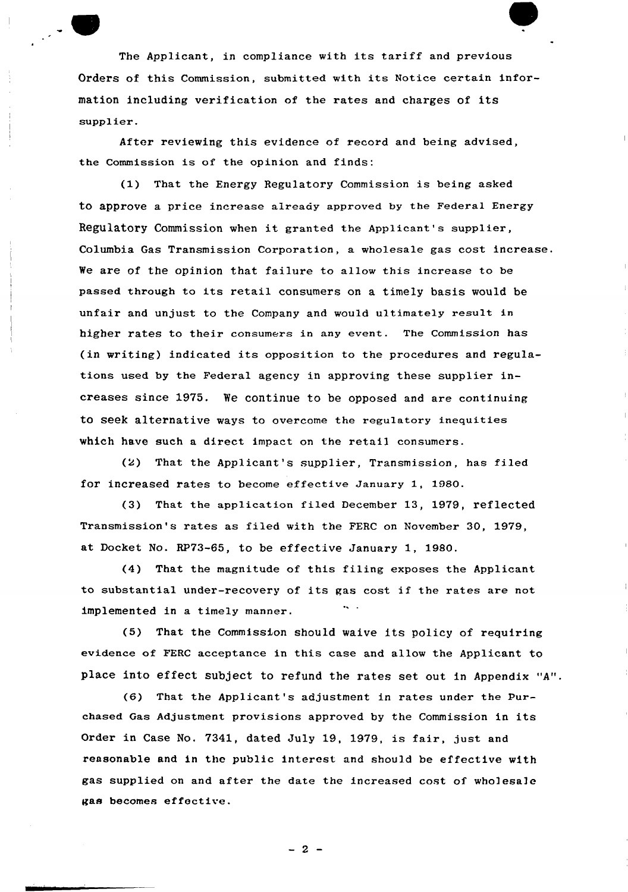The Applicant, in compliance with its tariff and previous Orders of this Commission, submitted with its Notice certain information including verification of the rates and charges of its supplier.

After reviewing this evidence of record and heing advised, the Commission is of the opinion and finds:

(1) That the Energy Regulatory Commission is being asked to approve a price increase already approved by the Federal Energy Regulatory Commission when it granted the Applicant's supplier, Columbia Gas Transmission Corporation, a wholesale gas cost increase. Ve are of the opinion that failure to allow this increase to be passed through to its retail consumers on a timely basis would be unfair and unjust to the Company and would ultimately result in higher rates to their consumers in any event. The Commission has (in writing) indicated its opposition to the procedures and regulations used by the Federal agency in approving these supplier increases since 1975. We continue to be opposed and are continuing to seek alternative ways to overcome the regulatory inequities which have such a direct impact on the retail consumers.

(2) That the Applicant's supplier, Transmission, has filed for increased rates to become effective January 1, 1980.

(3) That the application filed December 13, 1979, reflected Transmission's rates as filed with the FERC on November 30, 1979, at Docket No. RP73-65, to be effective January 1, 1980.

(4) That the magnitude of this filing exposes the Applicant to substantial under-recovery of its gas cost if the rates are not implemented in a timely manner.

(5) That the Commission should waive its policy of requiring evidence of FERC acceptance in this case and allow the Applicant to place into effect subject to refund the rates set out in Appendix "A".

(6) That the Applicant's adjustment in rates under the Purchased Gas Adjustment provisions approved by the Commission in its Order in Case No. 7341, dated July 19, 1979, is fair, just and reasonable and in the public interest and should be effective with gas supplied on and after the date the increased cost of wholesale gas becomes effective.

 $-2-$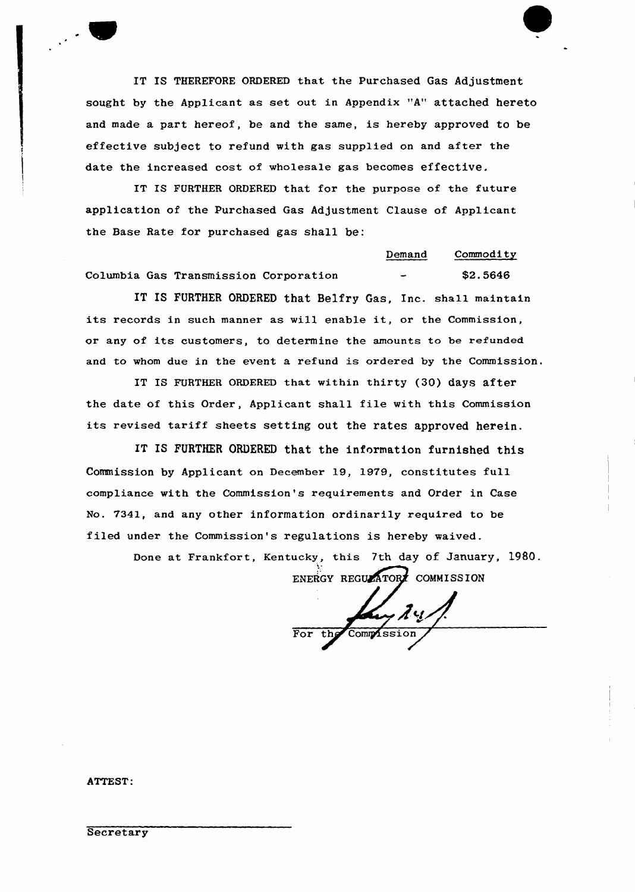IT IS THEREFORE ORDERED that the Purchased Gas Adjustment sought by the Applicant as set out in Appendix "A" attached hereto and made a part hereof, be and the same, is hereby approved to be effective subject to refund with gas supplied on and after the date the increased cost of wholesale gas becomes effective.

IT IS FURTHER ORDERED that for the purpose of the future application of the Purchased Gas Adjustment Clause of Applicant the Base Rate for purchased gas shall be:

|  |                                       | Demand<br>________    | Commodity |
|--|---------------------------------------|-----------------------|-----------|
|  | Columbia Gas Transmission Corporation | $\tilde{\phantom{a}}$ | \$2.5646  |

IT IS FURTHER ORDERED that Belfry Gas, Inc. shall maintain its records in such manner as will enable it, or the Commission, or any of its customers, to determine the amounts to be refunded and to whom due in the event a refund is ordered by the Commission.

IT IS FURTHER ORDERED that within thirty (30) days after the date of this Order, Applicant shall file with this Commission its revised tariff sheets setting out the rates approved herein.

IT IS FURTHER ORDERED that the information furnished this Commission by Applicant on December 19, 1979, constitutes full compliance with the Commission's requirements and Order in Case No. 7341, and any other information ordinarily required to be filed under the Commission's regulations is hereby waived.

Done at Frankfort, Kentucky, this 7th day of January, 1980.

ENERGY REGULATORY COMMISSION

 $2u$ For the Commissio

ATTEST:

**Secretary**